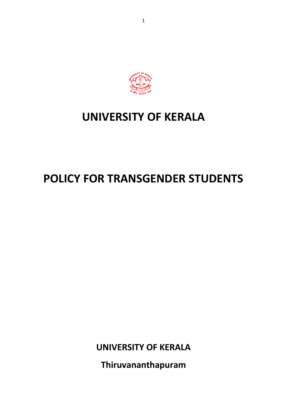

# **UNIVERSITY OF KERALA**

# **POLICY FOR TRANSGENDER STUDENTS**

**UNIVERSITY OF KERALA**

**Thiruvananthapuram**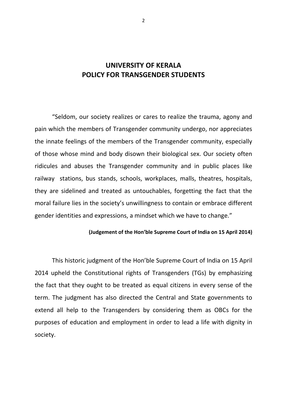## **UNIVERSITY OF KERALA POLICY FOR TRANSGENDER STUDENTS**

"Seldom, our society realizes or cares to realize the trauma, agony and pain which the members of Transgender community undergo, nor appreciates the innate feelings of the members of the Transgender community, especially of those whose mind and body disown their biological sex. Our society often ridicules and abuses the Transgender community and in public places like railway stations, bus stands, schools, workplaces, malls, theatres, hospitals, they are sidelined and treated as untouchables, forgetting the fact that the moral failure lies in the society's unwillingness to contain or embrace different gender identities and expressions, a mindset which we have to change."

#### **(Judgement of the Hon'ble Supreme Court of India on 15 April 2014)**

This historic judgment of the Hon'ble Supreme Court of India on 15 April 2014 upheld the Constitutional rights of Transgenders (TGs) by emphasizing the fact that they ought to be treated as equal citizens in every sense of the term. The judgment has also directed the Central and State governments to extend all help to the Transgenders by considering them as OBCs for the purposes of education and employment in order to lead a life with dignity in society.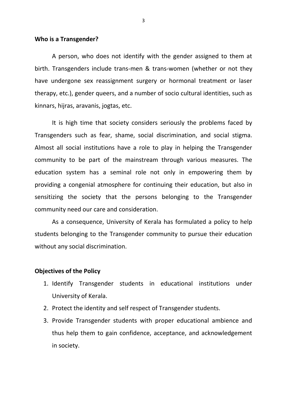#### **Who is a Transgender?**

A person, who does not identify with the gender assigned to them at birth. Transgenders include trans-men & trans-women (whether or not they have undergone sex reassignment surgery or hormonal treatment or laser therapy, etc.), gender queers, and a number of socio cultural identities, such as kinnars, hijras, aravanis, jogtas, etc.

It is high time that society considers seriously the problems faced by Transgenders such as fear, shame, social discrimination, and social stigma. Almost all social institutions have a role to play in helping the Transgender community to be part of the mainstream through various measures. The education system has a seminal role not only in empowering them by providing a congenial atmosphere for continuing their education, but also in sensitizing the society that the persons belonging to the Transgender community need our care and consideration.

As a consequence, University of Kerala has formulated a policy to help students belonging to the Transgender community to pursue their education without any social discrimination.

#### **Objectives of the Policy**

- 1. Identify Transgender students in educational institutions under University of Kerala.
- 2. Protect the identity and self respect of Transgender students.
- 3. Provide Transgender students with proper educational ambience and thus help them to gain confidence, acceptance, and acknowledgement in society.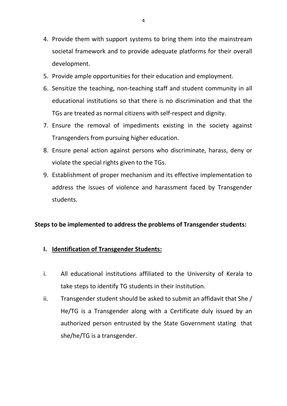- 4. Provide them with support systems to bring them into the mainstream societal framework and to provide adequate platforms for their overall development.
- 5. Provide ample opportunities for their education and employment.
- 6. Sensitize the teaching, non-teaching staff and student community in all educational institutions so that there is no discrimination and that the TGs are treated as normal citizens with self-respect and dignity.
- 7. Ensure the removal of impediments existing in the society against Transgenders from pursuing higher education.
- 8. Ensure penal action against persons who discriminate, harass, deny or violate the special rights given to the TGs.
- 9. Establishment of proper mechanism and its effective implementation to address the issues of violence and harassment faced by Transgender students.

#### **Steps to be implemented to address the problems of Transgender students:**

#### **I. Identification of Transgender Students:**

- i. All educational institutions affiliated to the University of Kerala to take steps to identify TG students in their institution.
- ii. Transgender student should be asked to submit an affidavit that She / He/TG is a Transgender along with a Certificate duly issued by an authorized person entrusted by the State Government stating that she/he/TG is a transgender.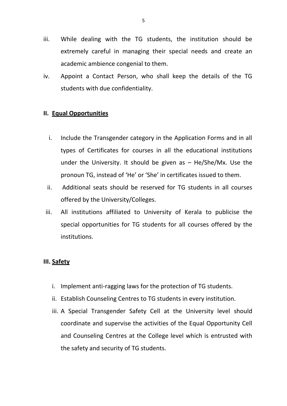- iii. While dealing with the TG students, the institution should be extremely careful in managing their special needs and create an academic ambience congenial to them.
- iv. Appoint a Contact Person, who shall keep the details of the TG students with due confidentiality.

### **II. Equal Opportunities**

- i. Include the Transgender category in the Application Forms and in all types of Certificates for courses in all the educational institutions under the University. It should be given as  $-$  He/She/Mx. Use the pronoun TG, instead of 'He' or 'She' in certificates issued to them.
- ii. Additional seats should be reserved for TG students in all courses offered by the University/Colleges.
- iii. All institutions affiliated to University of Kerala to publicise the special opportunities for TG students for all courses offered by the institutions.

#### **III. Safety**

- i. Implement anti-ragging laws for the protection of TG students.
- ii. Establish Counseling Centres to TG students in every institution.
- iii. A Special Transgender Safety Cell at the University level should coordinate and supervise the activities of the Equal Opportunity Cell and Counseling Centres at the College level which is entrusted with the safety and security of TG students.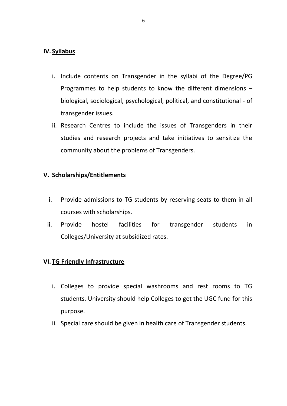#### **IV. Syllabus**

- i. Include contents on Transgender in the syllabi of the Degree/PG Programmes to help students to know the different dimensions – biological, sociological, psychological, political, and constitutional - of transgender issues.
- ii. Research Centres to include the issues of Transgenders in their studies and research projects and take initiatives to sensitize the community about the problems of Transgenders.

## **V. Scholarships/Entitlements**

- i. Provide admissions to TG students by reserving seats to them in all courses with scholarships.
- ii. Provide hostel facilities for transgender students in Colleges/University at subsidized rates.

## **VI. TG Friendly Infrastructure**

- i. Colleges to provide special washrooms and rest rooms to TG students. University should help Colleges to get the UGC fund for this purpose.
- ii. Special care should be given in health care of Transgender students.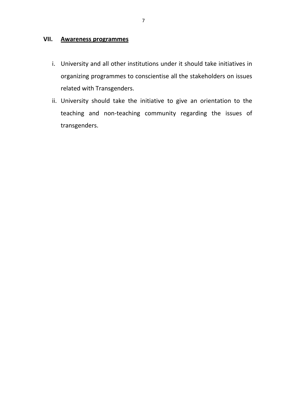## **VII. Awareness programmes**

- i. University and all other institutions under it should take initiatives in organizing programmes to conscientise all the stakeholders on issues related with Transgenders.
- ii. University should take the initiative to give an orientation to the teaching and non-teaching community regarding the issues of transgenders.